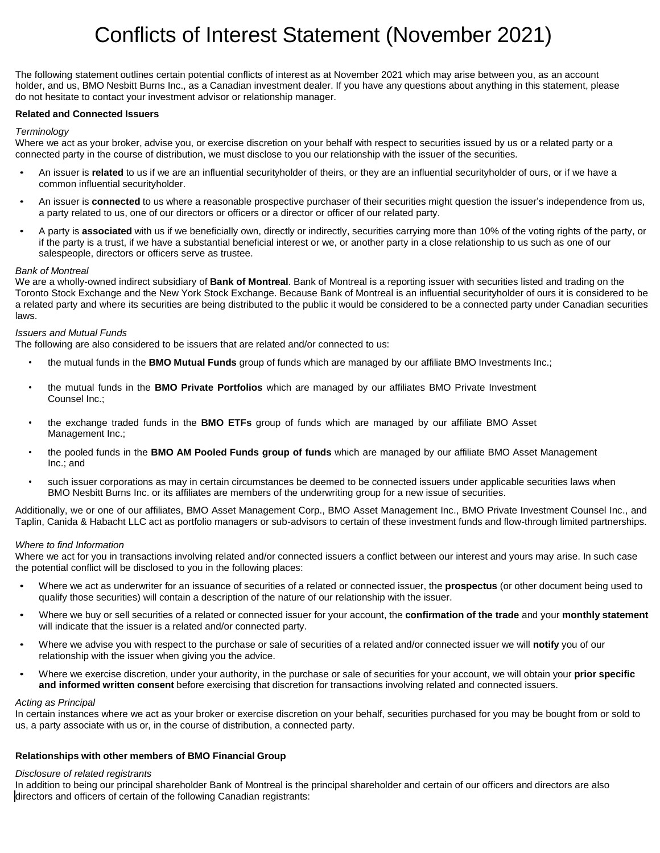# Conflicts of Interest Statement (November 2021)

The following statement outlines certain potential conflicts of interest as at November 2021 which may arise between you, as an account holder, and us, BMO Nesbitt Burns Inc., as a Canadian investment dealer. If you have any questions about anything in this statement, please do not hesitate to contact your investment advisor or relationship manager.

# **Related and Connected Issuers**

## *Terminology*

Where we act as your broker, advise you, or exercise discretion on your behalf with respect to securities issued by us or a related party or a connected party in the course of distribution, we must disclose to you our relationship with the issuer of the securities.

- An issuer is **related** to us if we are an influential securityholder of theirs, or they are an influential securityholder of ours, or if we have a common influential securityholder.
- An issuer is **connected** to us where a reasonable prospective purchaser of their securities might question the issuer's independence from us, a party related to us, one of our directors or officers or a director or officer of our related party.
- A party is **associated** with us if we beneficially own, directly or indirectly, securities carrying more than 10% of the voting rights of the party, or if the party is a trust, if we have a substantial beneficial interest or we, or another party in a close relationship to us such as one of our salespeople, directors or officers serve as trustee.

## *Bank of Montreal*

We are a wholly-owned indirect subsidiary of **Bank of Montreal**. Bank of Montreal is a reporting issuer with securities listed and trading on the Toronto Stock Exchange and the New York Stock Exchange. Because Bank of Montreal is an influential securityholder of ours it is considered to be a related party and where its securities are being distributed to the public it would be considered to be a connected party under Canadian securities laws.

## *Issuers and Mutual Funds*

The following are also considered to be issuers that are related and/or connected to us:

- the mutual funds in the **BMO Mutual Funds** group of funds which are managed by our affiliate BMO Investments Inc.;
- the mutual funds in the **BMO Private Portfolios** which are managed by our affiliates BMO Private Investment Counsel Inc.;
- the exchange traded funds in the **BMO ETFs** group of funds which are managed by our affiliate BMO Asset Management Inc.;
- the pooled funds in the **BMO AM Pooled Funds group of funds** which are managed by our affiliate BMO Asset Management Inc.; and
- such issuer corporations as may in certain circumstances be deemed to be connected issuers under applicable securities laws when BMO Nesbitt Burns Inc. or its affiliates are members of the underwriting group for a new issue of securities.

Additionally, we or one of our affiliates, BMO Asset Management Corp., BMO Asset Management Inc., BMO Private Investment Counsel Inc., and Taplin, Canida & Habacht LLC act as portfolio managers or sub-advisors to certain of these investment funds and flow-through limited partnerships.

# *Where to find Information*

Where we act for you in transactions involving related and/or connected issuers a conflict between our interest and yours may arise. In such case the potential conflict will be disclosed to you in the following places:

- Where we act as underwriter for an issuance of securities of a related or connected issuer, the **prospectus** (or other document being used to qualify those securities) will contain a description of the nature of our relationship with the issuer.
- Where we buy or sell securities of a related or connected issuer for your account, the **confirmation of the trade** and your **monthly statement** will indicate that the issuer is a related and/or connected party.
- Where we advise you with respect to the purchase or sale of securities of a related and/or connected issuer we will **notify** you of our relationship with the issuer when giving you the advice.
- Where we exercise discretion, under your authority, in the purchase or sale of securities for your account, we will obtain your **prior specific and informed written consent** before exercising that discretion for transactions involving related and connected issuers.

#### *Acting as Principal*

In certain instances where we act as your broker or exercise discretion on your behalf, securities purchased for you may be bought from or sold to us, a party associate with us or, in the course of distribution, a connected party.

# **Relationships with other members of BMO Financial Group**

#### *Disclosure of related registrants*

In addition to being our principal shareholder Bank of Montreal is the principal shareholder and certain of our officers and directors are also directors and officers of certain of the following Canadian registrants: